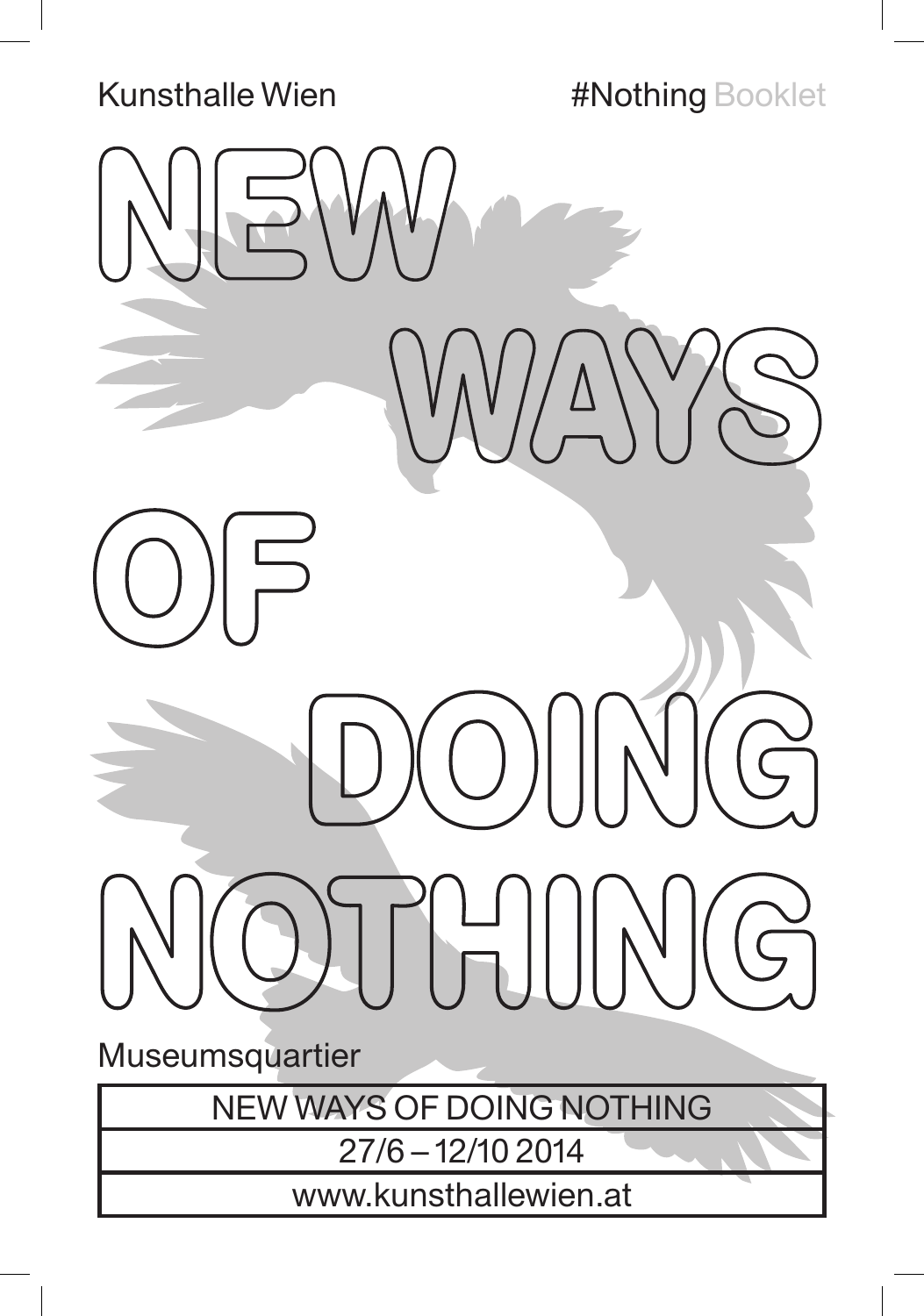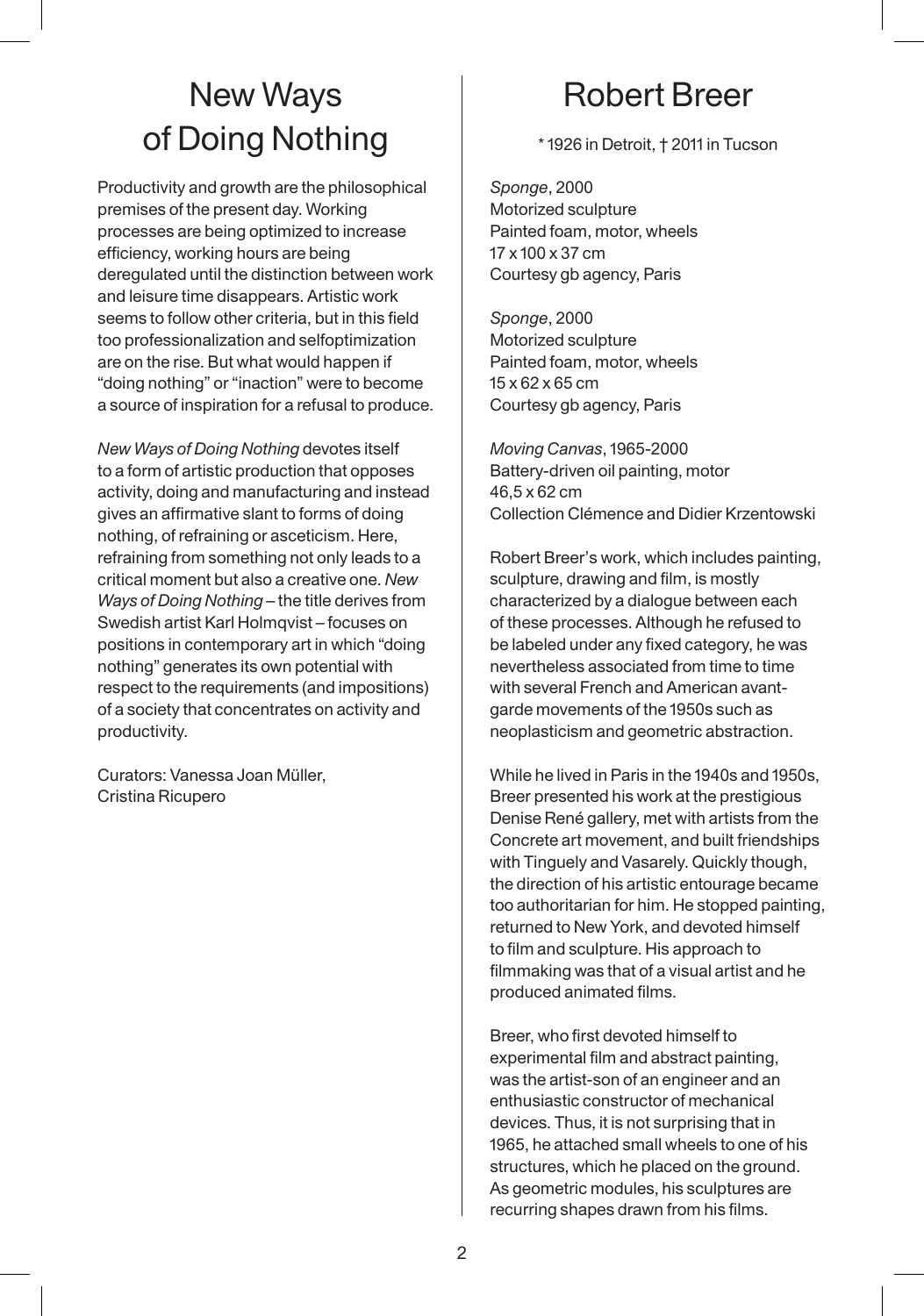# New Ways of Doing Nothing

Productivity and growth are the philosophical premises of the present day. Working processes are being optimized to increase efficiency, working hours are being deregulated until the distinction between work and leisure time disappears. Artistic work seems to follow other criteria, but in this field too professionalization and selfoptimization are on the rise. But what would happen if "doing nothing" or "inaction" were to become a source of inspiration for a refusal to produce.

*New Ways of Doing Nothing* devotes itself to a form of artistic production that opposes activity, doing and manufacturing and instead gives an affirmative slant to forms of doing nothing, of refraining or asceticism. Here, refraining from something not only leads to a critical moment but also a creative one. *New Ways of Doing Nothing* – the title derives from Swedish artist Karl Holmqvist – focuses on positions in contemporary art in which "doing nothing" generates its own potential with respect to the requirements (and impositions) of a society that concentrates on activity and productivity.

Curators: Vanessa Joan Müller, Cristina Ricupero

# Robert Breer

\* 1926 in Detroit, † 2011 in Tucson

*Sponge*, 2000 Motorized sculpture Painted foam, motor, wheels 17 x 100 x 37 cm Courtesy gb agency, Paris

*Sponge*, 2000 Motorized sculpture Painted foam, motor, wheels 15 x 62 x 65 cm Courtesy gb agency, Paris

*Moving Canvas*, 1965-2000 Battery-driven oil painting, motor 46,5 x 62 cm Collection Clémence and Didier Krzentowski

Robert Breer's work, which includes painting, sculpture, drawing and film, is mostly characterized by a dialogue between each of these processes. Although he refused to be labeled under any fixed category, he was nevertheless associated from time to time with several French and American avantgarde movements of the 1950s such as neoplasticism and geometric abstraction.

While he lived in Paris in the 1940s and 1950s, Breer presented his work at the prestigious Denise René gallery, met with artists from the Concrete art movement, and built friendships with Tinguely and Vasarely. Quickly though, the direction of his artistic entourage became too authoritarian for him. He stopped painting, returned to New York, and devoted himself to film and sculpture. His approach to filmmaking was that of a visual artist and he produced animated films.

Breer, who first devoted himself to experimental film and abstract painting, was the artist-son of an engineer and an enthusiastic constructor of mechanical devices. Thus, it is not surprising that in 1965, he attached small wheels to one of his structures, which he placed on the ground. As geometric modules, his sculptures are recurring shapes drawn from his films.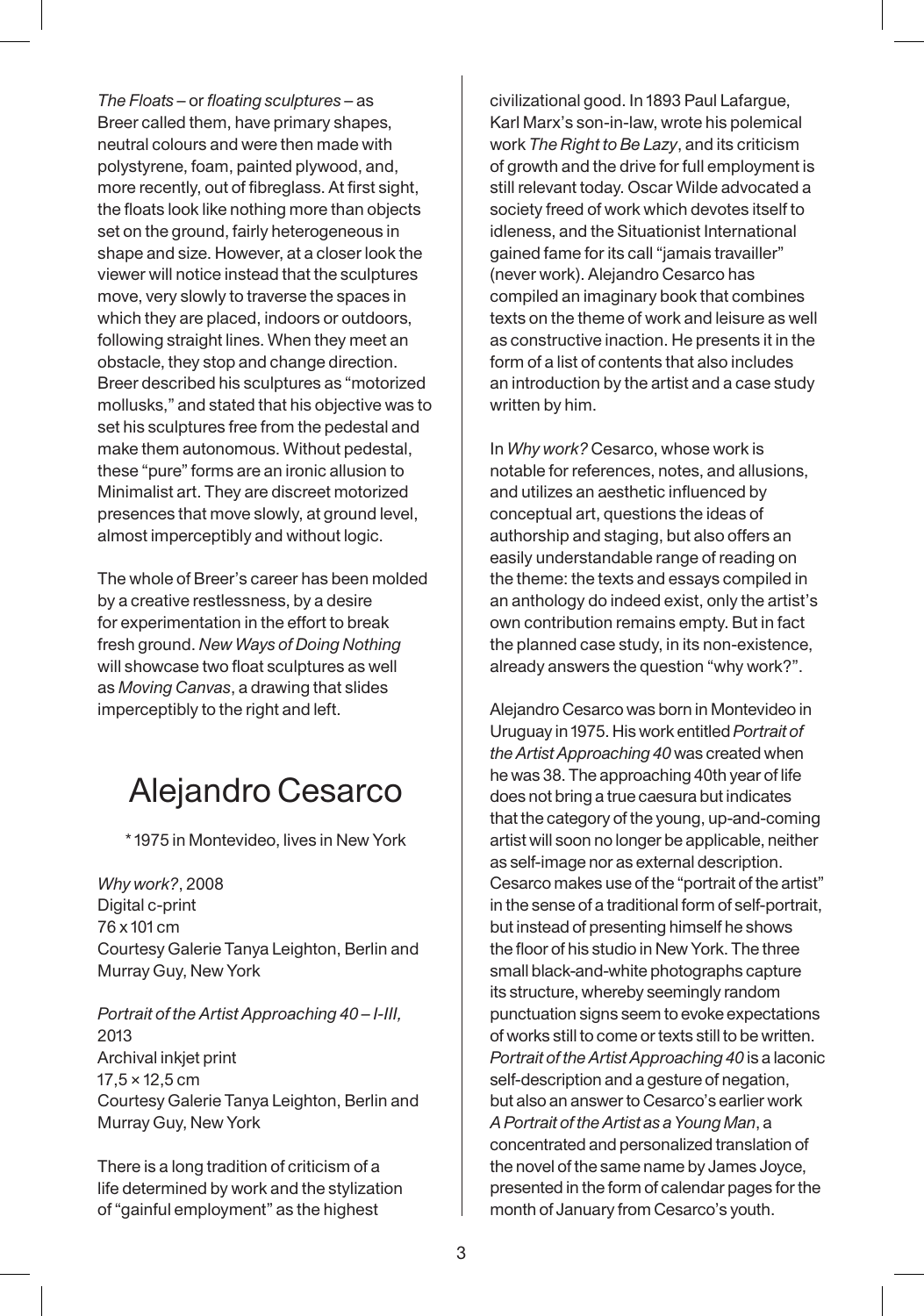*The Floats* – or *floating sculptures* – as Breer called them, have primary shapes, neutral colours and were then made with polystyrene, foam, painted plywood, and, more recently, out of fibreglass. At first sight, the floats look like nothing more than objects set on the ground, fairly heterogeneous in shape and size. However, at a closer look the viewer will notice instead that the sculptures move, very slowly to traverse the spaces in which they are placed, indoors or outdoors, following straight lines. When they meet an obstacle, they stop and change direction. Breer described his sculptures as "motorized mollusks," and stated that his objective was to set his sculptures free from the pedestal and make them autonomous. Without pedestal, these "pure" forms are an ironic allusion to Minimalist art. They are discreet motorized presences that move slowly, at ground level, almost imperceptibly and without logic.

The whole of Breer's career has been molded by a creative restlessness, by a desire for experimentation in the effort to break fresh ground. *New Ways of Doing Nothing*  will showcase two float sculptures as well as *Moving Canvas*, a drawing that slides imperceptibly to the right and left.

### Alejandro Cesarco

\* 1975 in Montevideo, lives in New York

*Why work?*, 2008 Digital c-print 76 x 101 cm Courtesy Galerie Tanya Leighton, Berlin and Murray Guy, New York

*Portrait of the Artist Approaching 40 – I-III,*  2013 Archival inkjet print 17,5 × 12,5 cm Courtesy Galerie Tanya Leighton, Berlin and Murray Guy, New York

There is a long tradition of criticism of a life determined by work and the stylization of "gainful employment" as the highest

civilizational good. In 1893 Paul Lafargue, Karl Marx's son-in-law, wrote his polemical work *The Right to Be Lazy*, and its criticism of growth and the drive for full employment is still relevant today. Oscar Wilde advocated a society freed of work which devotes itself to idleness, and the Situationist International gained fame for its call "jamais travailler" (never work). Alejandro Cesarco has compiled an imaginary book that combines texts on the theme of work and leisure as well as constructive inaction. He presents it in the form of a list of contents that also includes an introduction by the artist and a case study written by him.

In *Why work?* Cesarco, whose work is notable for references, notes, and allusions, and utilizes an aesthetic influenced by conceptual art, questions the ideas of authorship and staging, but also offers an easily understandable range of reading on the theme: the texts and essays compiled in an anthology do indeed exist, only the artist's own contribution remains empty. But in fact the planned case study, in its non-existence, already answers the question "why work?".

Alejandro Cesarco was born in Montevideo in Uruguay in 1975. His work entitled *Portrait of the Artist Approaching 40* was created when he was 38. The approaching 40th year of life does not bring a true caesura but indicates that the category of the young, up-and-coming artist will soon no longer be applicable, neither as self-image nor as external description. Cesarco makes use of the "portrait of the artist" in the sense of a traditional form of self-portrait, but instead of presenting himself he shows the floor of his studio in New York. The three small black-and-white photographs capture its structure, whereby seemingly random punctuation signs seem to evoke expectations of works still to come or texts still to be written. *Portrait of the Artist Approaching 40* is a laconic self-description and a gesture of negation, but also an answer to Cesarco's earlier work *A Portrait of the Artist as a Young Man*, a concentrated and personalized translation of the novel of the same name by James Joyce, presented in the form of calendar pages for the month of January from Cesarco's youth.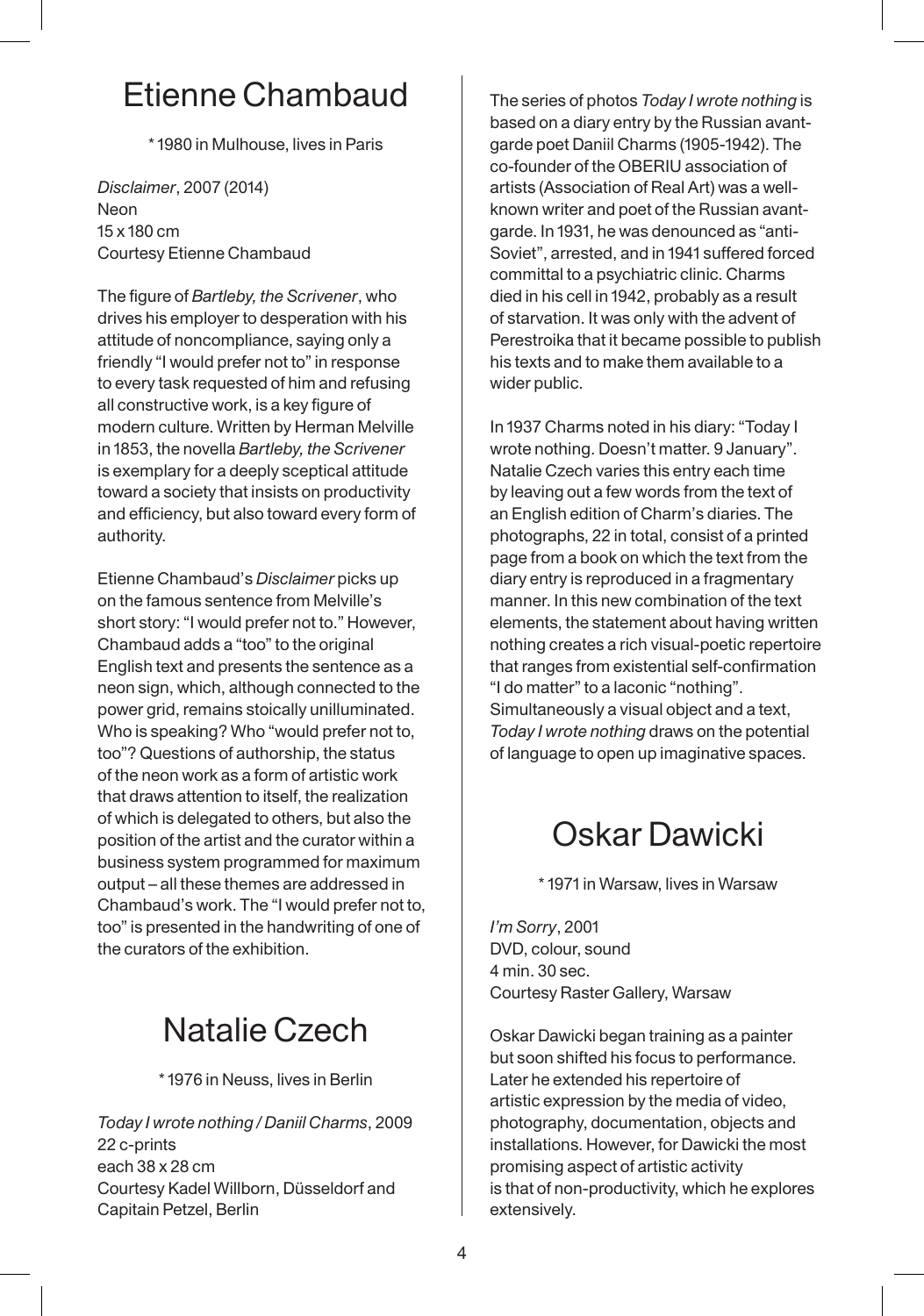# Etienne Chambaud

\* 1980 in Mulhouse, lives in Paris

*Disclaimer*, 2007 (2014) Neon 15 x 180 cm Courtesy Etienne Chambaud

The figure of *Bartleby, the Scrivener*, who drives his employer to desperation with his attitude of noncompliance, saying only a friendly "I would prefer not to" in response to every task requested of him and refusing all constructive work, is a key figure of modern culture. Written by Herman Melville in 1853, the novella *Bartleby, the Scrivener* is exemplary for a deeply sceptical attitude toward a society that insists on productivity and efficiency, but also toward every form of authority.

Etienne Chambaud's *Disclaimer* picks up on the famous sentence from Melville's short story: "I would prefer not to." However, Chambaud adds a "too" to the original English text and presents the sentence as a neon sign, which, although connected to the power grid, remains stoically unilluminated. Who is speaking? Who "would prefer not to, too"? Questions of authorship, the status of the neon work as a form of artistic work that draws attention to itself, the realization of which is delegated to others, but also the position of the artist and the curator within a business system programmed for maximum output – all these themes are addressed in Chambaud's work. The "I would prefer not to, too" is presented in the handwriting of one of the curators of the exhibition.

# Natalie Czech

\* 1976 in Neuss, lives in Berlin

*Today I wrote nothing / Daniil Charms*, 2009 22 c-prints each 38 x 28 cm Courtesy Kadel Willborn, Düsseldorf and Capitain Petzel, Berlin

The series of photos *Today I wrote nothing* is based on a diary entry by the Russian avantgarde poet Daniil Charms (1905-1942). The co-founder of the OBERIU association of artists (Association of Real Art) was a wellknown writer and poet of the Russian avantgarde. In 1931, he was denounced as "anti-Soviet", arrested, and in 1941 suffered forced committal to a psychiatric clinic. Charms died in his cell in 1942, probably as a result of starvation. It was only with the advent of Perestroika that it became possible to publish his texts and to make them available to a wider public.

In 1937 Charms noted in his diary: "Today I wrote nothing. Doesn't matter. 9 January". Natalie Czech varies this entry each time by leaving out a few words from the text of an English edition of Charm's diaries. The photographs, 22 in total, consist of a printed page from a book on which the text from the diary entry is reproduced in a fragmentary manner. In this new combination of the text elements, the statement about having written nothing creates a rich visual-poetic repertoire that ranges from existential self-confirmation "I do matter" to a laconic "nothing". Simultaneously a visual object and a text, *Today I wrote nothing* draws on the potential of language to open up imaginative spaces.

## Oskar Dawicki

\* 1971 in Warsaw, lives in Warsaw

*I'm Sorry*, 2001 DVD, colour, sound 4 min. 30 sec. Courtesy Raster Gallery, Warsaw

Oskar Dawicki began training as a painter but soon shifted his focus to performance. Later he extended his repertoire of artistic expression by the media of video, photography, documentation, objects and installations. However, for Dawicki the most promising aspect of artistic activity is that of non-productivity, which he explores extensively.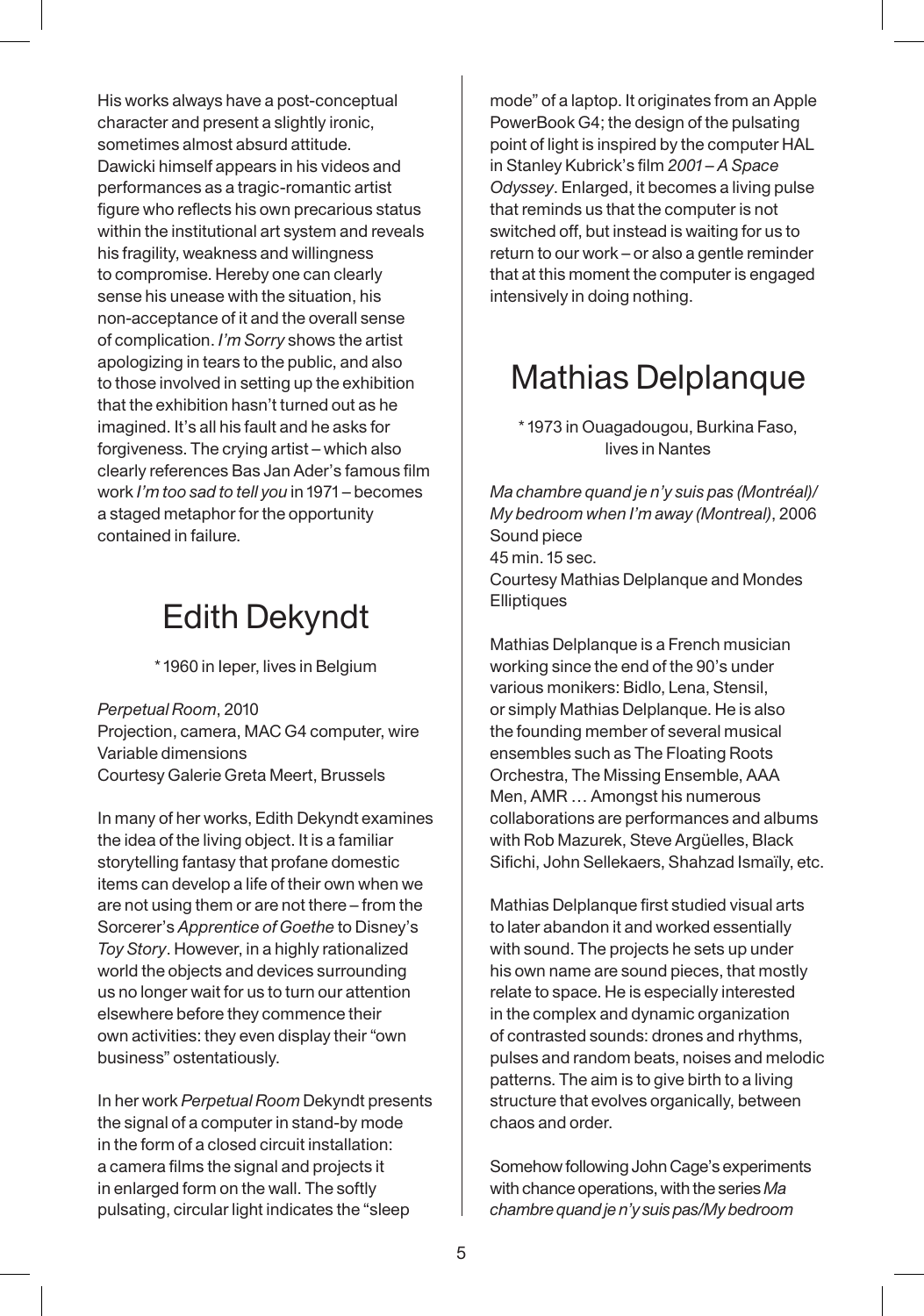His works always have a post-conceptual character and present a slightly ironic, sometimes almost absurd attitude. Dawicki himself appears in his videos and performances as a tragic-romantic artist figure who reflects his own precarious status within the institutional art system and reveals his fragility, weakness and willingness to compromise. Hereby one can clearly sense his unease with the situation, his non-acceptance of it and the overall sense of complication. *I'm Sorry* shows the artist apologizing in tears to the public, and also to those involved in setting up the exhibition that the exhibition hasn't turned out as he imagined. It's all his fault and he asks for forgiveness. The crying artist – which also clearly references Bas Jan Ader's famous film work *I'm too sad to tell you* in 1971 – becomes a staged metaphor for the opportunity contained in failure.

# Edith Dekyndt

\* 1960 in Ieper, lives in Belgium

*Perpetual Room*, 2010 Projection, camera, MAC G4 computer, wire Variable dimensions Courtesy Galerie Greta Meert, Brussels

In many of her works, Edith Dekyndt examines the idea of the living object. It is a familiar storytelling fantasy that profane domestic items can develop a life of their own when we are not using them or are not there – from the Sorcerer's *Apprentice of Goethe* to Disney's *Toy Story*. However, in a highly rationalized world the objects and devices surrounding us no longer wait for us to turn our attention elsewhere before they commence their own activities: they even display their "own business" ostentatiously.

In her work *Perpetual Room* Dekyndt presents the signal of a computer in stand-by mode in the form of a closed circuit installation: a camera films the signal and projects it in enlarged form on the wall. The softly pulsating, circular light indicates the "sleep

mode" of a laptop. It originates from an Apple PowerBook G4; the design of the pulsating point of light is inspired by the computer HAL in Stanley Kubrick's film *2001 – A Space Odyssey*. Enlarged, it becomes a living pulse that reminds us that the computer is not switched off, but instead is waiting for us to return to our work – or also a gentle reminder that at this moment the computer is engaged intensively in doing nothing.

# Mathias Delplanque

\* 1973 in Ouagadougou, Burkina Faso, lives in Nantes

*Ma chambre quand je n'y suis pas (Montréal)/ My bedroom when I'm away (Montreal)*, 2006 Sound piece 45 min. 15 sec. Courtesy Mathias Delplanque and Mondes **Elliptiques** 

Mathias Delplanque is a French musician working since the end of the 90's under various monikers: Bidlo, Lena, Stensil, or simply Mathias Delplanque. He is also the founding member of several musical ensembles such as The Floating Roots Orchestra, The Missing Ensemble, AAA Men, AMR … Amongst his numerous collaborations are performances and albums with Rob Mazurek, Steve Argüelles, Black Sifichi, John Sellekaers, Shahzad Ismaïly, etc.

Mathias Delplanque first studied visual arts to later abandon it and worked essentially with sound. The projects he sets up under his own name are sound pieces, that mostly relate to space. He is especially interested in the complex and dynamic organization of contrasted sounds: drones and rhythms, pulses and random beats, noises and melodic patterns. The aim is to give birth to a living structure that evolves organically, between chaos and order.

Somehow following John Cage's experiments with chance operations, with the series *Ma chambre quand je n'y suis pas/My bedroom*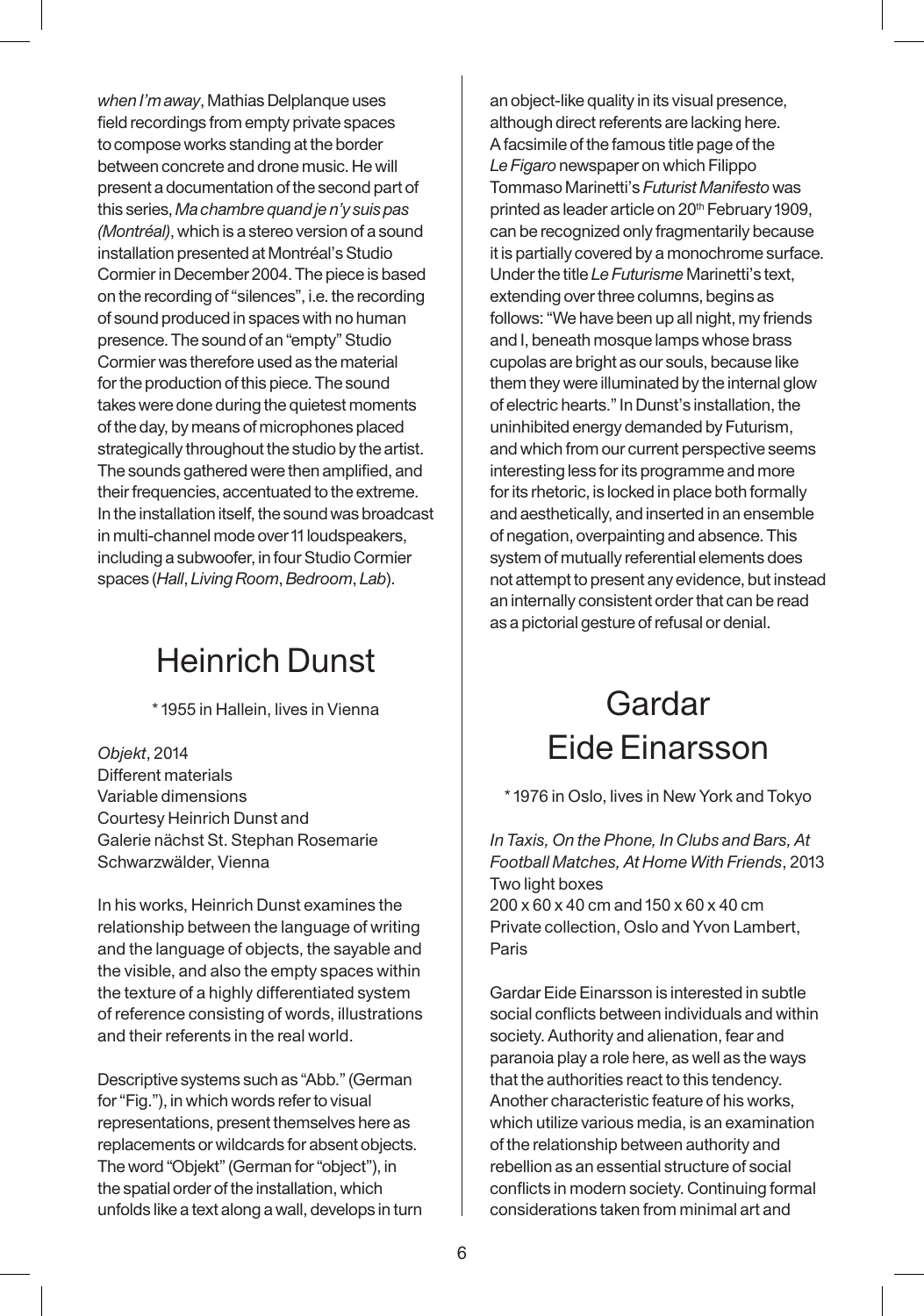*when I'm away*, Mathias Delplanque uses field recordings from empty private spaces to compose works standing at the border between concrete and drone music. He will present a documentation of the second part of this series, *Ma chambre quand je n'y suis pas (Montréal)*, which is a stereo version of a sound installation presented at Montréal's Studio Cormier in December 2004. The piece is based on the recording of "silences", i.e. the recording of sound produced in spaces with no human presence. The sound of an "empty" Studio Cormier was therefore used as the material for the production of this piece. The sound takes were done during the quietest moments of the day, by means of microphones placed strategically throughout the studio by the artist. The sounds gathered were then amplified, and their frequencies, accentuated to the extreme. In the installation itself, the sound was broadcast in multi-channel mode over 11 loudspeakers, including a subwoofer, in four Studio Cormier spaces (*Hall*, *Living Room*, *Bedroom*, *Lab*).

### Heinrich Dunst

\* 1955 in Hallein, lives in Vienna

*Objekt*, 2014 Different materials Variable dimensions Courtesy Heinrich Dunst and Galerie nächst St. Stephan Rosemarie Schwarzwälder, Vienna

In his works, Heinrich Dunst examines the relationship between the language of writing and the language of objects, the sayable and the visible, and also the empty spaces within the texture of a highly differentiated system of reference consisting of words, illustrations and their referents in the real world.

Descriptive systems such as "Abb." (German for "Fig."), in which words refer to visual representations, present themselves here as replacements or wildcards for absent objects. The word "Objekt" (German for "object"), in the spatial order of the installation, which unfolds like a text along a wall, develops in turn

an object-like quality in its visual presence, although direct referents are lacking here. A facsimile of the famous title page of the *Le Figaro* newspaper on which Filippo Tommaso Marinetti's *Futurist Manifesto* was printed as leader article on 20<sup>th</sup> February 1909, can be recognized only fragmentarily because it is partially covered by a monochrome surface. Under the title *Le Futurisme* Marinetti's text, extending over three columns, begins as follows: "We have been up all night, my friends and I, beneath mosque lamps whose brass cupolas are bright as our souls, because like them they were illuminated by the internal glow of electric hearts." In Dunst's installation, the uninhibited energy demanded by Futurism, and which from our current perspective seems interesting less for its programme and more for its rhetoric, is locked in place both formally and aesthetically, and inserted in an ensemble of negation, overpainting and absence. This system of mutually referential elements does not attempt to present any evidence, but instead an internally consistent order that can be read as a pictorial gesture of refusal or denial.

# Gardar Eide Einarsson

\* 1976 in Oslo, lives in New York and Tokyo

*In Taxis, On the Phone, In Clubs and Bars, At Football Matches, At Home With Friends*, 2013 Two light boxes 200 x 60 x 40 cm and 150 x 60 x 40 cm Private collection, Oslo and Yvon Lambert, Paris

Gardar Eide Einarsson is interested in subtle social conflicts between individuals and within society. Authority and alienation, fear and paranoia play a role here, as well as the ways that the authorities react to this tendency. Another characteristic feature of his works, which utilize various media, is an examination of the relationship between authority and rebellion as an essential structure of social conflicts in modern society. Continuing formal considerations taken from minimal art and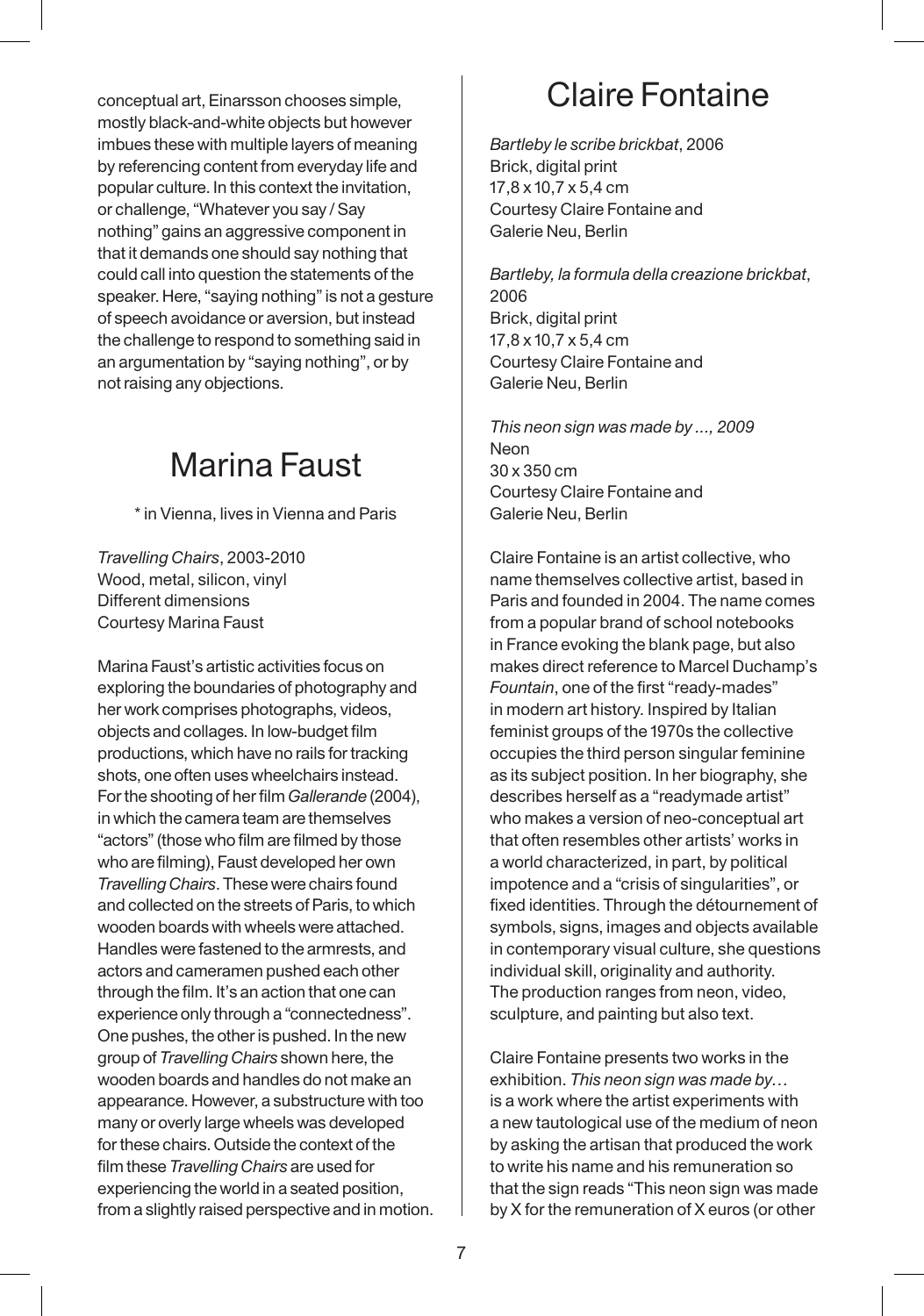conceptual art, Einarsson chooses simple, mostly black-and-white objects but however imbues these with multiple layers of meaning by referencing content from everyday life and popular culture. In this context the invitation, or challenge, "Whatever you say / Say nothing" gains an aggressive component in that it demands one should say nothing that could call into question the statements of the speaker. Here, "saying nothing" is not a gesture of speech avoidance or aversion, but instead the challenge to respond to something said in an argumentation by "saying nothing", or by not raising any objections.

# Marina Faust

\* in Vienna, lives in Vienna and Paris

*Travelling Chairs*, 2003-2010 Wood, metal, silicon, vinyl Different dimensions Courtesy Marina Faust

Marina Faust's artistic activities focus on exploring the boundaries of photography and her work comprises photographs, videos, objects and collages. In low-budget film productions, which have no rails for tracking shots, one often uses wheelchairs instead. For the shooting of her film *Gallerande* (2004), in which the camera team are themselves "actors" (those who film are filmed by those who are filming), Faust developed her own *Travelling Chairs*. These were chairs found and collected on the streets of Paris, to which wooden boards with wheels were attached. Handles were fastened to the armrests, and actors and cameramen pushed each other through the film. It's an action that one can experience only through a "connectedness". One pushes, the other is pushed. In the new group of *Travelling Chairs* shown here, the wooden boards and handles do not make an appearance. However, a substructure with too many or overly large wheels was developed for these chairs. Outside the context of the film these *Travelling Chairs* are used for experiencing the world in a seated position, from a slightly raised perspective and in motion.

# Claire Fontaine

*Bartleby le scribe brickbat*, 2006 Brick, digital print 17,8 x 10,7 x 5,4 cm Courtesy Claire Fontaine and Galerie Neu, Berlin

*Bartleby, la formula della creazione brickbat*, 2006 Brick, digital print 17,8 x 10,7 x 5,4 cm Courtesy Claire Fontaine and Galerie Neu, Berlin

*This neon sign was made by ..., 2009* Neon 30 x 350 cm Courtesy Claire Fontaine and Galerie Neu, Berlin

Claire Fontaine is an artist collective, who name themselves collective artist, based in Paris and founded in 2004. The name comes from a popular brand of school notebooks in France evoking the blank page, but also makes direct reference to Marcel Duchamp's *Fountain*, one of the first "ready-mades" in modern art history. Inspired by Italian feminist groups of the 1970s the collective occupies the third person singular feminine as its subject position. In her biography, she describes herself as a "readymade artist" who makes a version of neo-conceptual art that often resembles other artists' works in a world characterized, in part, by political impotence and a "crisis of singularities", or fixed identities. Through the détournement of symbols, signs, images and objects available in contemporary visual culture, she questions individual skill, originality and authority. The production ranges from neon, video, sculpture, and painting but also text.

Claire Fontaine presents two works in the exhibition. *This neon sign was made by…* is a work where the artist experiments with a new tautological use of the medium of neon by asking the artisan that produced the work to write his name and his remuneration so that the sign reads "This neon sign was made by X for the remuneration of X euros (or other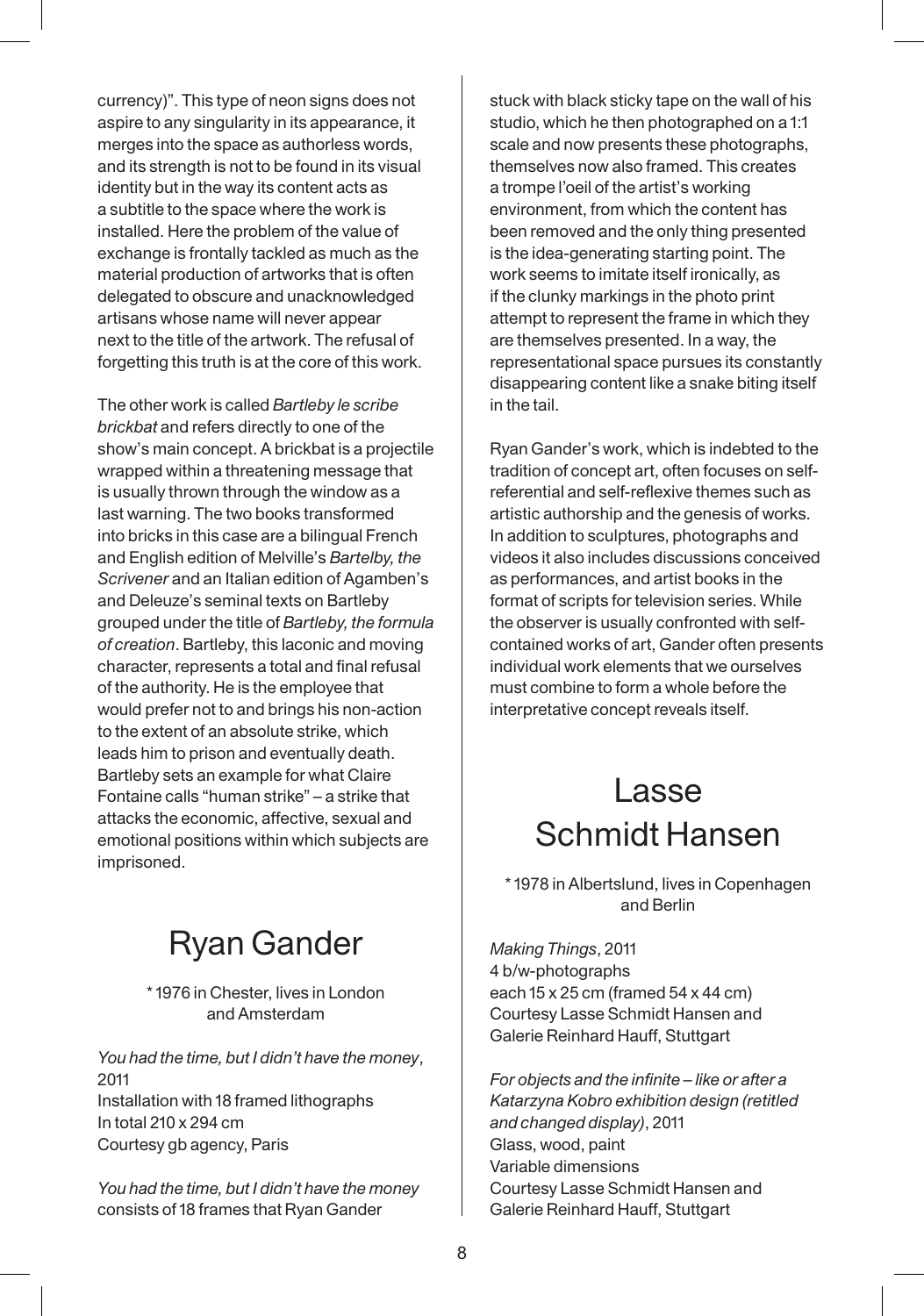currency)". This type of neon signs does not aspire to any singularity in its appearance, it merges into the space as authorless words, and its strength is not to be found in its visual identity but in the way its content acts as a subtitle to the space where the work is installed. Here the problem of the value of exchange is frontally tackled as much as the material production of artworks that is often delegated to obscure and unacknowledged artisans whose name will never appear next to the title of the artwork. The refusal of forgetting this truth is at the core of this work.

The other work is called *Bartleby le scribe brickbat* and refers directly to one of the show's main concept. A brickbat is a projectile wrapped within a threatening message that is usually thrown through the window as a last warning. The two books transformed into bricks in this case are a bilingual French and English edition of Melville's *Bartelby, the Scrivener* and an Italian edition of Agamben's and Deleuze's seminal texts on Bartleby grouped under the title of *Bartleby, the formula of creation*. Bartleby, this laconic and moving character, represents a total and final refusal of the authority. He is the employee that would prefer not to and brings his non-action to the extent of an absolute strike, which leads him to prison and eventually death. Bartleby sets an example for what Claire Fontaine calls "human strike" – a strike that attacks the economic, affective, sexual and emotional positions within which subjects are imprisoned.

## Ryan Gander

\* 1976 in Chester, lives in London and Amsterdam

*You had the time, but I didn't have the money*, 2011 Installation with 18 framed lithographs In total 210 x 294 cm Courtesy gb agency, Paris

*You had the time, but I didn't have the money*  consists of 18 frames that Ryan Gander

stuck with black sticky tape on the wall of his studio, which he then photographed on a 1:1 scale and now presents these photographs, themselves now also framed. This creates a trompe l'oeil of the artist's working environment, from which the content has been removed and the only thing presented is the idea-generating starting point. The work seems to imitate itself ironically, as if the clunky markings in the photo print attempt to represent the frame in which they are themselves presented. In a way, the representational space pursues its constantly disappearing content like a snake biting itself in the tail.

Ryan Gander's work, which is indebted to the tradition of concept art, often focuses on selfreferential and self-reflexive themes such as artistic authorship and the genesis of works. In addition to sculptures, photographs and videos it also includes discussions conceived as performances, and artist books in the format of scripts for television series. While the observer is usually confronted with selfcontained works of art, Gander often presents individual work elements that we ourselves must combine to form a whole before the interpretative concept reveals itself.

# Lasse Schmidt Hansen

\* 1978 in Albertslund, lives in Copenhagen and Berlin

*Making Things*, 2011 4 b/w-photographs each 15 x 25 cm (framed 54 x 44 cm) Courtesy Lasse Schmidt Hansen and Galerie Reinhard Hauff, Stuttgart

*For objects and the infinite – like or after a Katarzyna Kobro exhibition design (retitled and changed display)*, 2011 Glass, wood, paint Variable dimensions Courtesy Lasse Schmidt Hansen and Galerie Reinhard Hauff, Stuttgart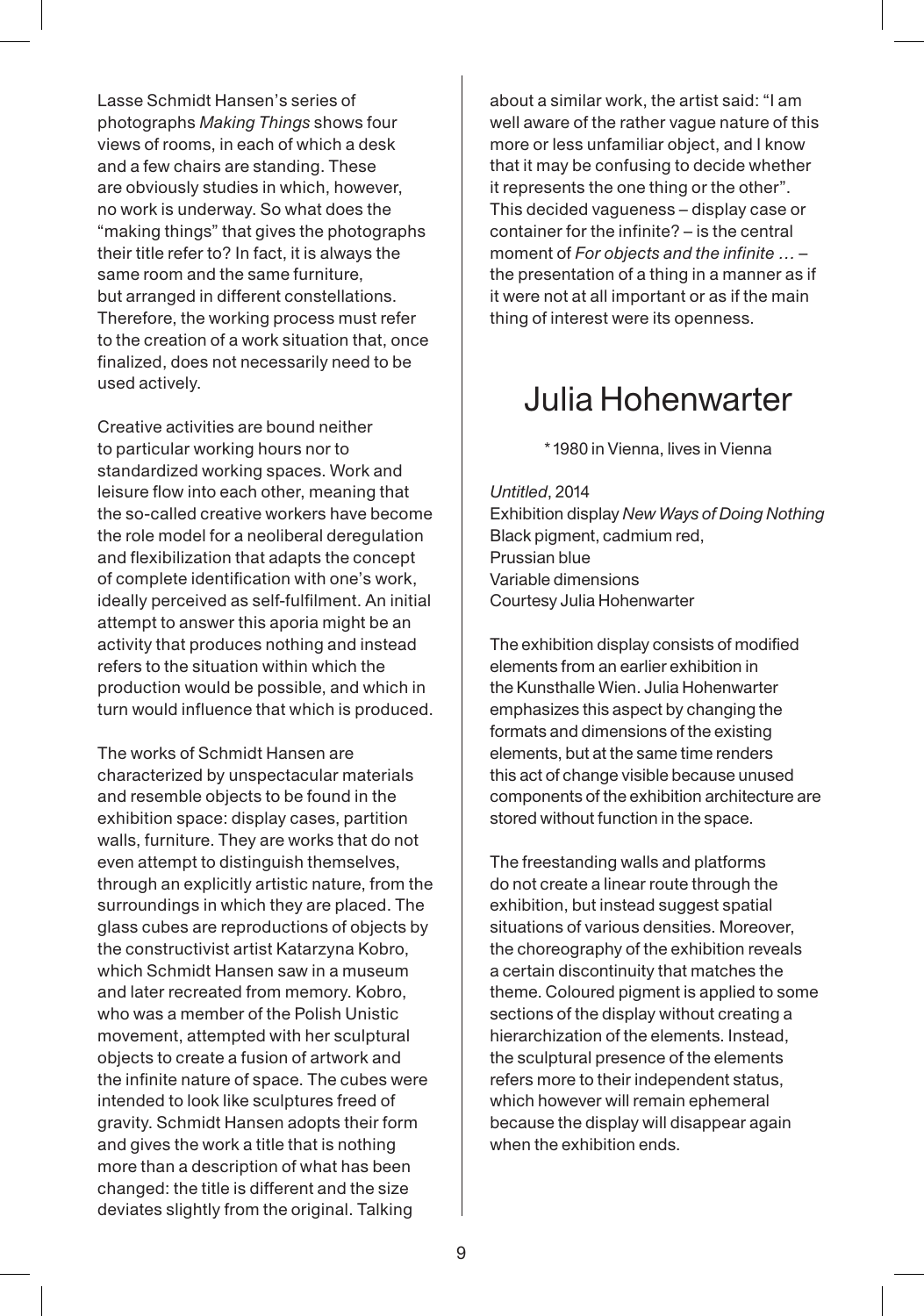Lasse Schmidt Hansen's series of photographs *Making Things* shows four views of rooms, in each of which a desk and a few chairs are standing. These are obviously studies in which, however, no work is underway. So what does the "making things" that gives the photographs their title refer to? In fact, it is always the same room and the same furniture, but arranged in different constellations. Therefore, the working process must refer to the creation of a work situation that, once finalized, does not necessarily need to be used actively.

Creative activities are bound neither to particular working hours nor to standardized working spaces. Work and leisure flow into each other, meaning that the so-called creative workers have become the role model for a neoliberal deregulation and flexibilization that adapts the concept of complete identification with one's work, ideally perceived as self-fulfilment. An initial attempt to answer this aporia might be an activity that produces nothing and instead refers to the situation within which the production would be possible, and which in turn would influence that which is produced.

The works of Schmidt Hansen are characterized by unspectacular materials and resemble objects to be found in the exhibition space: display cases, partition walls, furniture. They are works that do not even attempt to distinguish themselves, through an explicitly artistic nature, from the surroundings in which they are placed. The glass cubes are reproductions of objects by the constructivist artist Katarzyna Kobro, which Schmidt Hansen saw in a museum and later recreated from memory. Kobro, who was a member of the Polish Unistic movement, attempted with her sculptural objects to create a fusion of artwork and the infinite nature of space. The cubes were intended to look like sculptures freed of gravity. Schmidt Hansen adopts their form and gives the work a title that is nothing more than a description of what has been changed: the title is different and the size deviates slightly from the original. Talking

about a similar work, the artist said: "I am well aware of the rather vague nature of this more or less unfamiliar object, and I know that it may be confusing to decide whether it represents the one thing or the other". This decided vagueness – display case or container for the infinite? – is the central moment of *For objects and the infinite …* – the presentation of a thing in a manner as if it were not at all important or as if the main thing of interest were its openness.

### Julia Hohenwarter

\* 1980 in Vienna, lives in Vienna

*Untitled*, 2014 Exhibition display *New Ways of Doing Nothing* Black pigment, cadmium red, Prussian blue Variable dimensions Courtesy Julia Hohenwarter

The exhibition display consists of modified elements from an earlier exhibition in the Kunsthalle Wien. Julia Hohenwarter emphasizes this aspect by changing the formats and dimensions of the existing elements, but at the same time renders this act of change visible because unused components of the exhibition architecture are stored without function in the space.

The freestanding walls and platforms do not create a linear route through the exhibition, but instead suggest spatial situations of various densities. Moreover, the choreography of the exhibition reveals a certain discontinuity that matches the theme. Coloured pigment is applied to some sections of the display without creating a hierarchization of the elements. Instead, the sculptural presence of the elements refers more to their independent status, which however will remain ephemeral because the display will disappear again when the exhibition ends.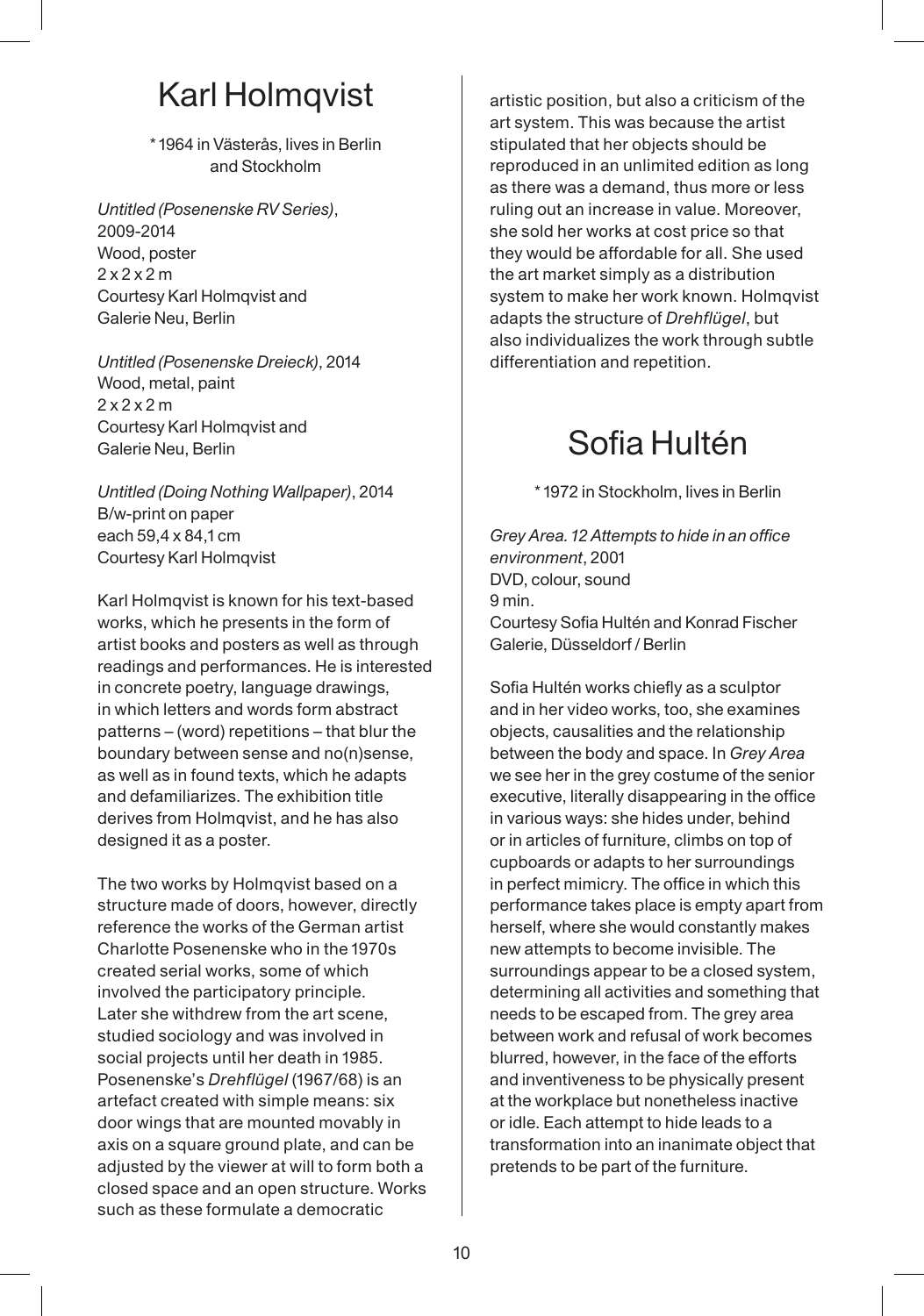# Karl Holmqvist

\* 1964 in Västerås, lives in Berlin and Stockholm

*Untitled (Posenenske RV Series)*, 2009-2014 Wood, poster 2 x 2 x 2 m Courtesy Karl Holmqvist and Galerie Neu, Berlin

*Untitled (Posenenske Dreieck)*, 2014 Wood, metal, paint 2 x 2 x 2 m Courtesy Karl Holmqvist and Galerie Neu, Berlin

*Untitled (Doing Nothing Wallpaper)*, 2014 B/w-print on paper each 59,4 x 84,1 cm Courtesy Karl Holmqvist

Karl Holmqvist is known for his text-based works, which he presents in the form of artist books and posters as well as through readings and performances. He is interested in concrete poetry, language drawings, in which letters and words form abstract patterns – (word) repetitions – that blur the boundary between sense and no(n)sense, as well as in found texts, which he adapts and defamiliarizes. The exhibition title derives from Holmqvist, and he has also designed it as a poster.

The two works by Holmqvist based on a structure made of doors, however, directly reference the works of the German artist Charlotte Posenenske who in the 1970s created serial works, some of which involved the participatory principle. Later she withdrew from the art scene, studied sociology and was involved in social projects until her death in 1985. Posenenske's *Drehflügel* (1967/68) is an artefact created with simple means: six door wings that are mounted movably in axis on a square ground plate, and can be adjusted by the viewer at will to form both a closed space and an open structure. Works such as these formulate a democratic

artistic position, but also a criticism of the art system. This was because the artist stipulated that her objects should be reproduced in an unlimited edition as long as there was a demand, thus more or less ruling out an increase in value. Moreover, she sold her works at cost price so that they would be affordable for all. She used the art market simply as a distribution system to make her work known. Holmqvist adapts the structure of *Drehflügel*, but also individualizes the work through subtle differentiation and repetition.

# Sofia Hultén

\* 1972 in Stockholm, lives in Berlin

*Grey Area. 12 Attempts to hide in an office environment*, 2001 DVD, colour, sound 9 min. Courtesy Sofia Hultén and Konrad Fischer Galerie, Düsseldorf / Berlin

Sofia Hultén works chiefly as a sculptor and in her video works, too, she examines objects, causalities and the relationship between the body and space. In *Grey Area* we see her in the grey costume of the senior executive, literally disappearing in the office in various ways: she hides under, behind or in articles of furniture, climbs on top of cupboards or adapts to her surroundings in perfect mimicry. The office in which this performance takes place is empty apart from herself, where she would constantly makes new attempts to become invisible. The surroundings appear to be a closed system, determining all activities and something that needs to be escaped from. The grey area between work and refusal of work becomes blurred, however, in the face of the efforts and inventiveness to be physically present at the workplace but nonetheless inactive or idle. Each attempt to hide leads to a transformation into an inanimate object that pretends to be part of the furniture.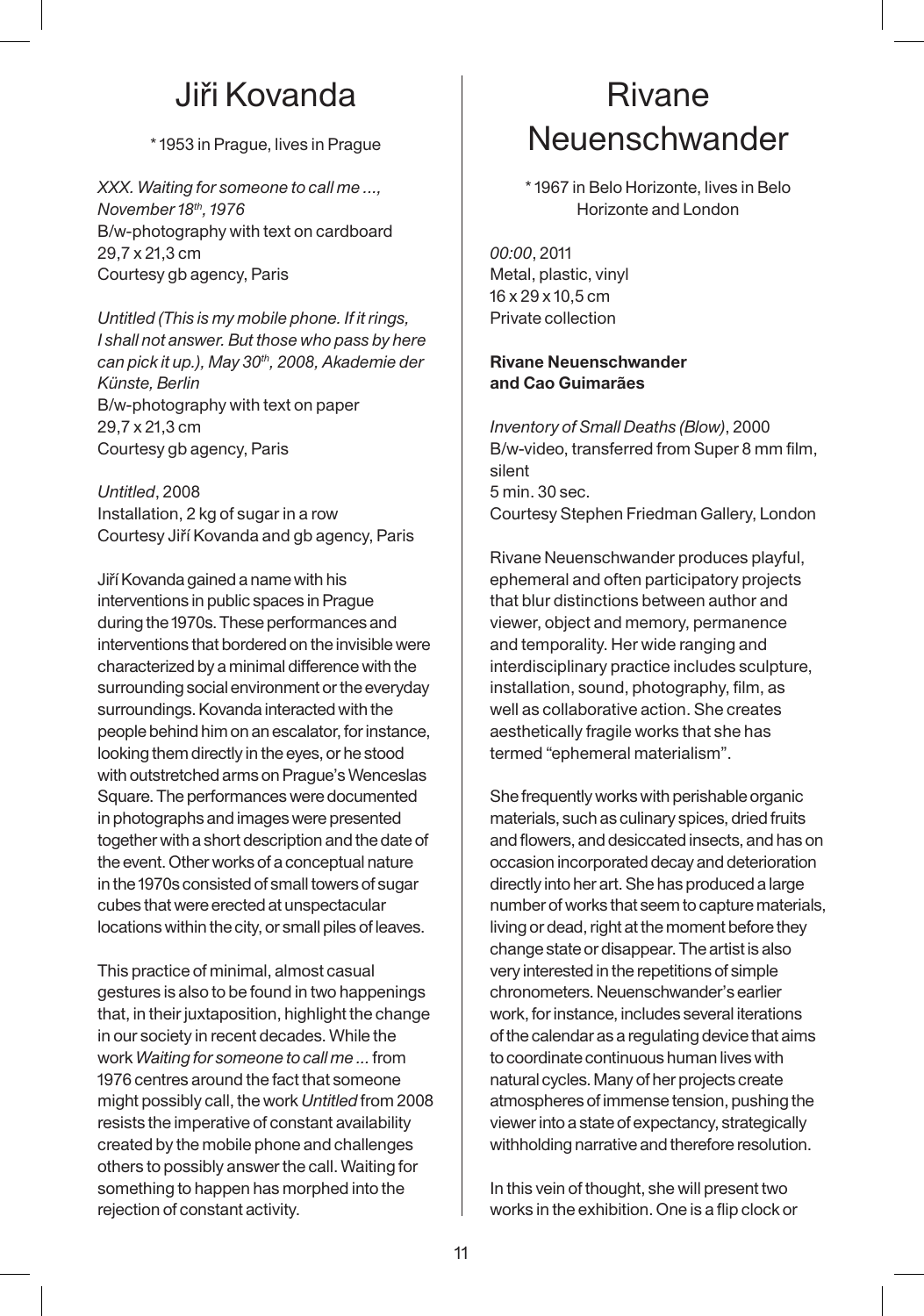### Jiři Kovanda

\* 1953 in Prague, lives in Prague

*XXX. Waiting for someone to call me ..., November 18th, 1976* B/w-photography with text on cardboard 29,7 x 21,3 cm Courtesy gb agency, Paris

*Untitled (This is my mobile phone. If it rings, I shall not answer. But those who pass by here can pick it up.), May 30th, 2008, Akademie der Künste, Berlin* B/w-photography with text on paper 29,7 x 21,3 cm Courtesy gb agency, Paris

*Untitled*, 2008 Installation, 2 kg of sugar in a row Courtesy Jiří Kovanda and gb agency, Paris

Jiří Kovanda gained a name with his interventions in public spaces in Prague during the 1970s. These performances and interventions that bordered on the invisible were characterized by a minimal difference with the surrounding social environment or the everyday surroundings. Kovanda interacted with the people behind him on an escalator, for instance, looking them directly in the eyes, or he stood with outstretched arms on Prague's Wenceslas Square. The performances were documented in photographs and images were presented together with a short description and the date of the event. Other works of a conceptual nature in the 1970s consisted of small towers of sugar cubes that were erected at unspectacular locations within the city, or small piles of leaves.

This practice of minimal, almost casual gestures is also to be found in two happenings that, in their juxtaposition, highlight the change in our society in recent decades. While the work *Waiting for someone to call me ...* from 1976 centres around the fact that someone might possibly call, the work *Untitled* from 2008 resists the imperative of constant availability created by the mobile phone and challenges others to possibly answer the call. Waiting for something to happen has morphed into the rejection of constant activity.

# Rivane Neuenschwander

\* 1967 in Belo Horizonte, lives in Belo Horizonte and London

*00:00*, 2011 Metal, plastic, vinyl 16 x 29 x 10,5 cm Private collection

#### **Rivane Neuenschwander and Cao Guimarães**

*Inventory of Small Deaths (Blow)*, 2000 B/w-video, transferred from Super 8 mm film, silent 5 min. 30 sec. Courtesy Stephen Friedman Gallery, London

Rivane Neuenschwander produces playful, ephemeral and often participatory projects that blur distinctions between author and viewer, object and memory, permanence and temporality. Her wide ranging and interdisciplinary practice includes sculpture, installation, sound, photography, film, as well as collaborative action. She creates aesthetically fragile works that she has termed "ephemeral materialism".

She frequently works with perishable organic materials, such as culinary spices, dried fruits and flowers, and desiccated insects, and has on occasion incorporated decay and deterioration directly into her art. She has produced a large number of works that seem to capture materials, living or dead, right at the moment before they change state or disappear. The artist is also very interested in the repetitions of simple chronometers. Neuenschwander's earlier work, for instance, includes several iterations of the calendar as a regulating device that aims to coordinate continuous human lives with natural cycles. Many of her projects create atmospheres of immense tension, pushing the viewer into a state of expectancy, strategically withholding narrative and therefore resolution.

In this vein of thought, she will present two works in the exhibition. One is a flip clock or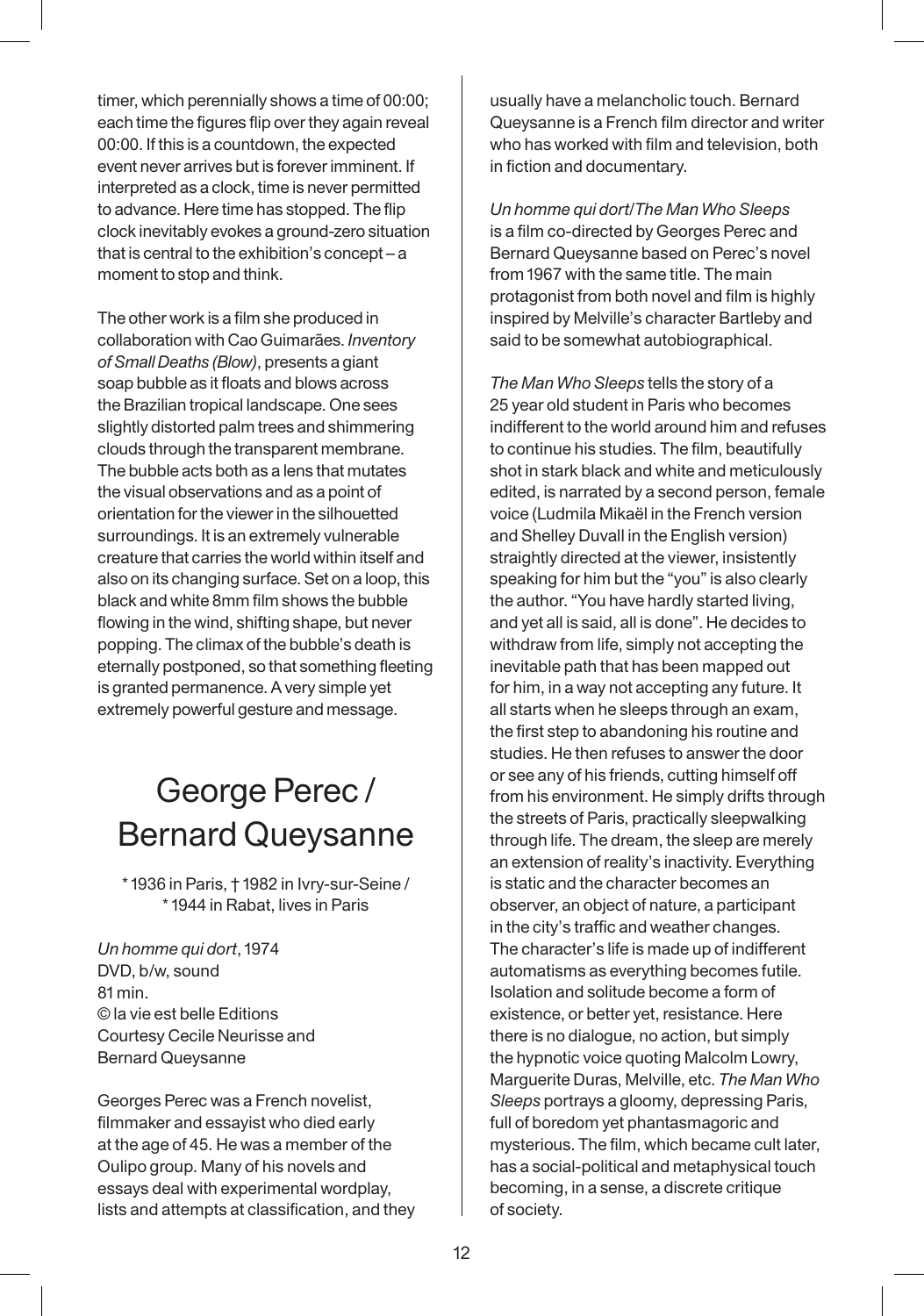timer, which perennially shows a time of 00:00; each time the figures flip over they again reveal 00:00. If this is a countdown, the expected event never arrives but is forever imminent. If interpreted as a clock, time is never permitted to advance. Here time has stopped. The flip clock inevitably evokes a ground-zero situation that is central to the exhibition's concept – a moment to stop and think.

The other work is a film she produced in collaboration with Cao Guimarães. *Inventory of Small Deaths (Blow)*, presents a giant soap bubble as it floats and blows across the Brazilian tropical landscape. One sees slightly distorted palm trees and shimmering clouds through the transparent membrane. The bubble acts both as a lens that mutates the visual observations and as a point of orientation for the viewer in the silhouetted surroundings. It is an extremely vulnerable creature that carries the world within itself and also on its changing surface. Set on a loop, this black and white 8mm film shows the bubble flowing in the wind, shifting shape, but never popping. The climax of the bubble's death is eternally postponed, so that something fleeting is granted permanence. A very simple yet extremely powerful gesture and message.

# George Perec / Bernard Queysanne

\* 1936 in Paris, † 1982 in Ivry-sur-Seine / \* 1944 in Rabat, lives in Paris

*Un homme qui dort*, 1974 DVD, b/w, sound 81 min. © la vie est belle Editions Courtesy Cecile Neurisse and Bernard Queysanne

Georges Perec was a French novelist, filmmaker and essayist who died early at the age of 45. He was a member of the Oulipo group. Many of his novels and essays deal with experimental wordplay, lists and attempts at classification, and they usually have a melancholic touch. Bernard Queysanne is a French film director and writer who has worked with film and television, both in fiction and documentary.

*Un homme qui dort*/*The Man Who Sleeps* is a film co-directed by Georges Perec and Bernard Queysanne based on Perec's novel from 1967 with the same title. The main protagonist from both novel and film is highly inspired by Melville's character Bartleby and said to be somewhat autobiographical.

*The Man Who Sleeps* tells the story of a 25 year old student in Paris who becomes indifferent to the world around him and refuses to continue his studies. The film, beautifully shot in stark black and white and meticulously edited, is narrated by a second person, female voice (Ludmila Mikaël in the French version and Shelley Duvall in the English version) straightly directed at the viewer, insistently speaking for him but the "you" is also clearly the author. "You have hardly started living, and yet all is said, all is done". He decides to withdraw from life, simply not accepting the inevitable path that has been mapped out for him, in a way not accepting any future. It all starts when he sleeps through an exam, the first step to abandoning his routine and studies. He then refuses to answer the door or see any of his friends, cutting himself off from his environment. He simply drifts through the streets of Paris, practically sleepwalking through life. The dream, the sleep are merely an extension of reality's inactivity. Everything is static and the character becomes an observer, an object of nature, a participant in the city's traffic and weather changes. The character's life is made up of indifferent automatisms as everything becomes futile. Isolation and solitude become a form of existence, or better yet, resistance. Here there is no dialogue, no action, but simply the hypnotic voice quoting Malcolm Lowry, Marguerite Duras, Melville, etc. *The Man Who Sleeps* portrays a gloomy, depressing Paris, full of boredom yet phantasmagoric and mysterious. The film, which became cult later, has a social-political and metaphysical touch becoming, in a sense, a discrete critique of society.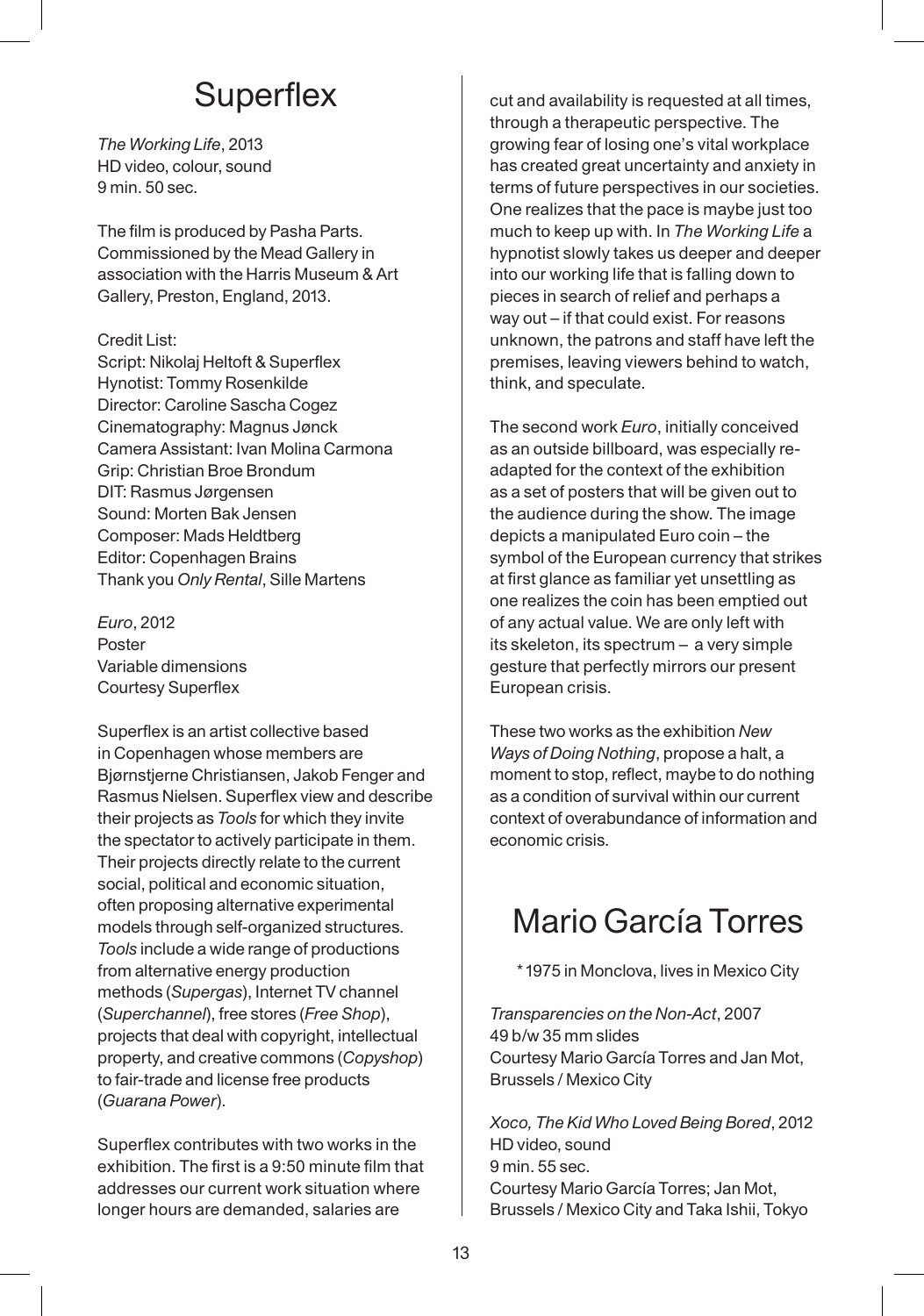## **Superflex**

*The Working Life*, 2013 HD video, colour, sound 9 min. 50 sec.

The film is produced by Pasha Parts. Commissioned by the Mead Gallery in association with the Harris Museum & Art Gallery, Preston, England, 2013.

#### Credit List:

Script: Nikolaj Heltoft & Superflex Hynotist: Tommy Rosenkilde Director: Caroline Sascha Cogez Cinematography: Magnus Jønck Camera Assistant: Ivan Molina Carmona Grip: Christian Broe Brondum DIT: Rasmus Jørgensen Sound: Morten Bak Jensen Composer: Mads Heldtberg Editor: Copenhagen Brains Thank you *Only Rental*, Sille Martens

*Euro*, 2012 Poster Variable dimensions Courtesy Superflex

Superflex is an artist collective based in Copenhagen whose members are Bjørnstjerne Christiansen, Jakob Fenger and Rasmus Nielsen. Superflex view and describe their projects as *Tools* for which they invite the spectator to actively participate in them. Their projects directly relate to the current social, political and economic situation, often proposing alternative experimental models through self-organized structures. *Tools* include a wide range of productions from alternative energy production methods (*Supergas*), Internet TV channel (*Superchannel*), free stores (*Free Shop*), projects that deal with copyright, intellectual property, and creative commons (*Copyshop*) to fair-trade and license free products (*Guarana Power*).

Superflex contributes with two works in the exhibition. The first is a 9:50 minute film that addresses our current work situation where longer hours are demanded, salaries are

cut and availability is requested at all times, through a therapeutic perspective. The growing fear of losing one's vital workplace has created great uncertainty and anxiety in terms of future perspectives in our societies. One realizes that the pace is maybe just too much to keep up with. In *The Working Life* a hypnotist slowly takes us deeper and deeper into our working life that is falling down to pieces in search of relief and perhaps a way out – if that could exist. For reasons unknown, the patrons and staff have left the premises, leaving viewers behind to watch, think, and speculate.

The second work *Euro*, initially conceived as an outside billboard, was especially readapted for the context of the exhibition as a set of posters that will be given out to the audience during the show. The image depicts a manipulated Euro coin – the symbol of the European currency that strikes at first glance as familiar yet unsettling as one realizes the coin has been emptied out of any actual value. We are only left with its skeleton, its spectrum – a very simple gesture that perfectly mirrors our present European crisis.

These two works as the exhibition *New Ways of Doing Nothing*, propose a halt, a moment to stop, reflect, maybe to do nothing as a condition of survival within our current context of overabundance of information and economic crisis.

# Mario García Torres

\* 1975 in Monclova, lives in Mexico City

*Transparencies on the Non-Act*, 2007 49 b/w 35 mm slides Courtesy Mario García Torres and Jan Mot, Brussels / Mexico City

*Xoco, The Kid Who Loved Being Bored*, 2012 HD video, sound 9 min. 55 sec. Courtesy Mario García Torres; Jan Mot, Brussels / Mexico City and Taka Ishii, Tokyo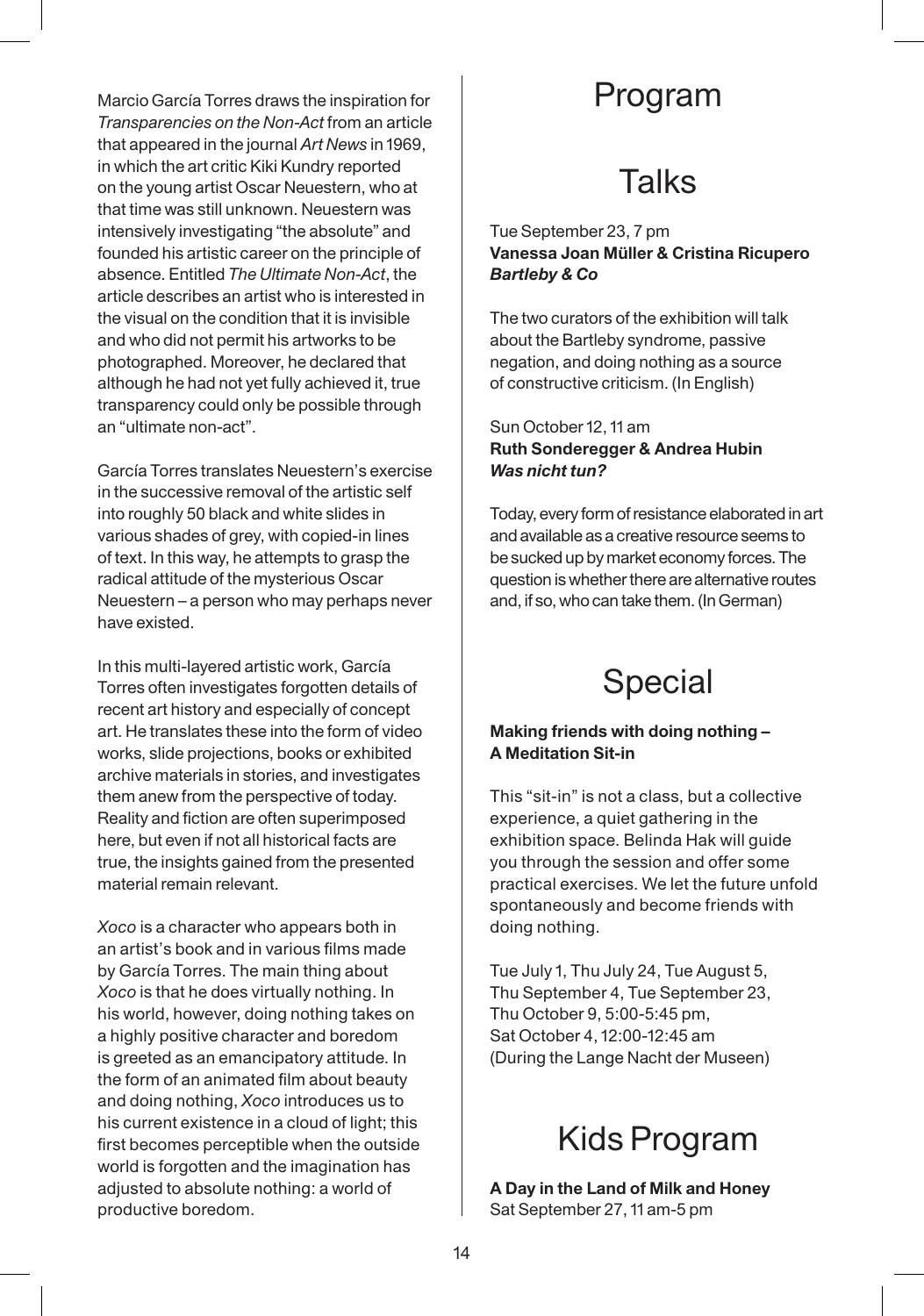Marcio García Torres draws the inspiration for *Transparencies on the Non-Act* from an article that appeared in the journal *Art News* in 1969, in which the art critic Kiki Kundry reported on the young artist Oscar Neuestern, who at that time was still unknown. Neuestern was intensively investigating "the absolute" and founded his artistic career on the principle of absence. Entitled *The Ultimate Non-Act*, the article describes an artist who is interested in the visual on the condition that it is invisible and who did not permit his artworks to be photographed. Moreover, he declared that although he had not yet fully achieved it, true transparency could only be possible through an "ultimate non-act".

García Torres translates Neuestern's exercise in the successive removal of the artistic self into roughly 50 black and white slides in various shades of grey, with copied-in lines of text. In this way, he attempts to grasp the radical attitude of the mysterious Oscar Neuestern – a person who may perhaps never have existed.

In this multi-layered artistic work, García Torres often investigates forgotten details of recent art history and especially of concept art. He translates these into the form of video works, slide projections, books or exhibited archive materials in stories, and investigates them anew from the perspective of today. Reality and fiction are often superimposed here, but even if not all historical facts are true, the insights gained from the presented material remain relevant.

*Xoco* is a character who appears both in an artist's book and in various films made by García Torres. The main thing about *Xoco* is that he does virtually nothing. In his world, however, doing nothing takes on a highly positive character and boredom is greeted as an emancipatory attitude. In the form of an animated film about beauty and doing nothing, *Xoco* introduces us to his current existence in a cloud of light; this first becomes perceptible when the outside world is forgotten and the imagination has adjusted to absolute nothing: a world of productive boredom.

### Program

# **Talks**

#### Tue September 23, 7 pm **Vanessa Joan Müller & Cristina Ricupero** *Bartleby & Co*

The two curators of the exhibition will talk about the Bartleby syndrome, passive negation, and doing nothing as a source of constructive criticism. (In English)

#### Sun October 12, 11 am **Ruth Sonderegger & Andrea Hubin** *Was nicht tun?*

Today, every form of resistance elaborated in art and available as a creative resource seems to be sucked up by market economy forces. The question is whether there are alternative routes and, if so, who can take them. (In German)



### **Making friends with doing nothing – A Meditation Sit-in**

This "sit-in" is not a class, but a collective experience, a quiet gathering in the exhibition space. Belinda Hak will guide you through the session and offer some practical exercises. We let the future unfold spontaneously and become friends with doing nothing.

Tue July 1, Thu July 24, Tue August 5, Thu September 4, Tue September 23, Thu October 9, 5:00-5:45 pm, Sat October 4, 12:00-12:45 am (During the Lange Nacht der Museen)



**A Day in the Land of Milk and Honey** Sat September 27, 11 am-5 pm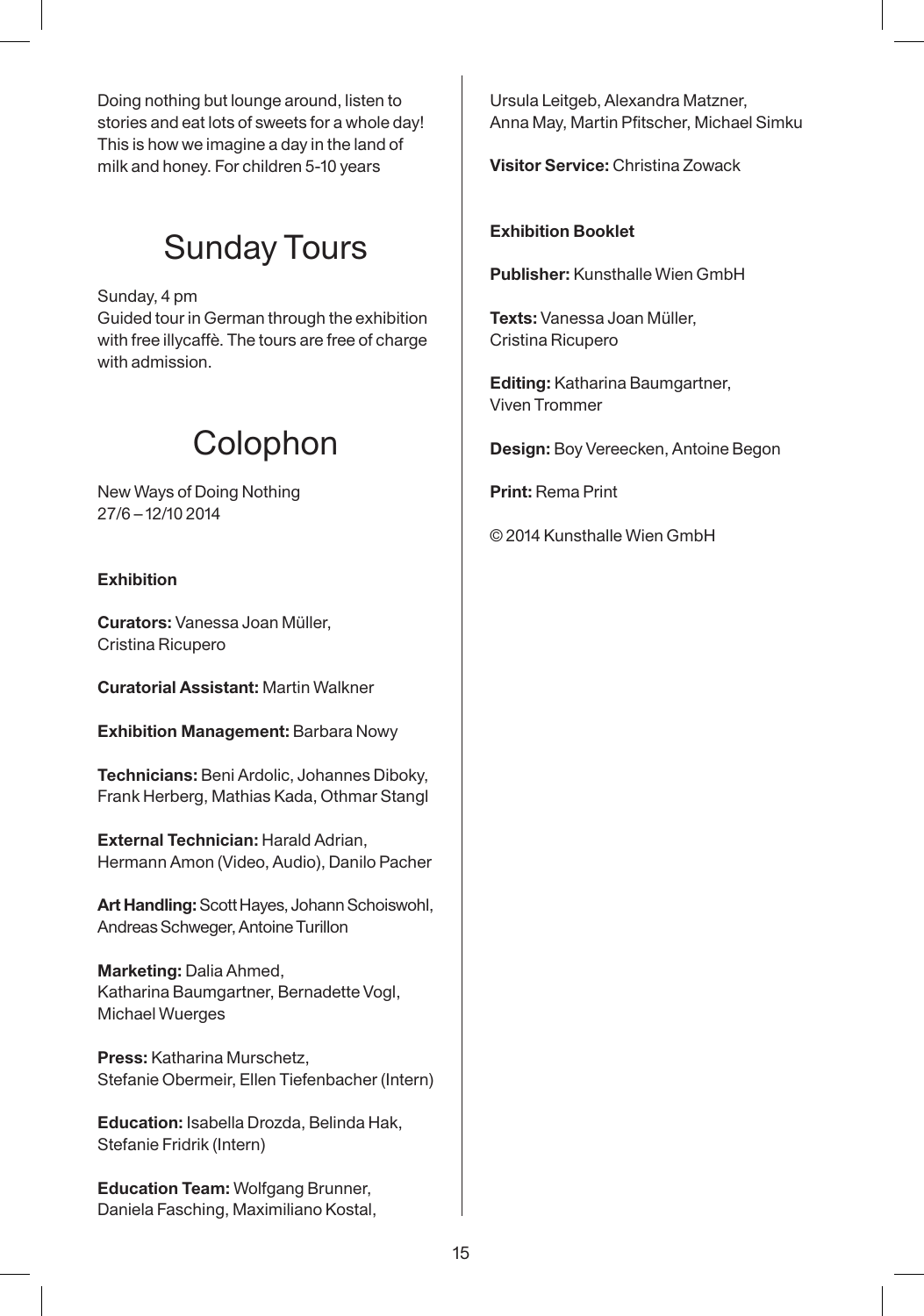Doing nothing but lounge around, listen to stories and eat lots of sweets for a whole day! This is how we imagine a day in the land of milk and honey. For children 5-10 years

# Sunday Tours

Sunday, 4 pm Guided tour in German through the exhibition with free illycaffè. The tours are free of charge with admission.

# Colophon

New Ways of Doing Nothing 27/6 – 12/10 2014

### **Exhibition**

**Curators:** Vanessa Joan Müller, Cristina Ricupero

**Curatorial Assistant:** Martin Walkner

**Exhibition Management:** Barbara Nowy

**Technicians:** Beni Ardolic, Johannes Diboky, Frank Herberg, Mathias Kada, Othmar Stangl

**External Technician:** Harald Adrian, Hermann Amon (Video, Audio), Danilo Pacher

**Art Handling:** Scott Hayes, Johann Schoiswohl, Andreas Schweger, Antoine Turillon

**Marketing:** Dalia Ahmed, Katharina Baumgartner, Bernadette Vogl, Michael Wuerges

**Press:** Katharina Murschetz, Stefanie Obermeir, Ellen Tiefenbacher (Intern)

**Education:** Isabella Drozda, Belinda Hak, Stefanie Fridrik (Intern)

**Education Team:** Wolfgang Brunner, Daniela Fasching, Maximiliano Kostal,

Ursula Leitgeb, Alexandra Matzner, Anna May, Martin Pfitscher, Michael Simku

**Visitor Service:** Christina Zowack

#### **Exhibition Booklet**

**Publisher:** Kunsthalle Wien GmbH

**Texts:** Vanessa Joan Müller, Cristina Ricupero

**Editing:** Katharina Baumgartner, Viven Trommer

**Design:** Boy Vereecken, Antoine Begon

**Print:** Rema Print

© 2014 Kunsthalle Wien GmbH